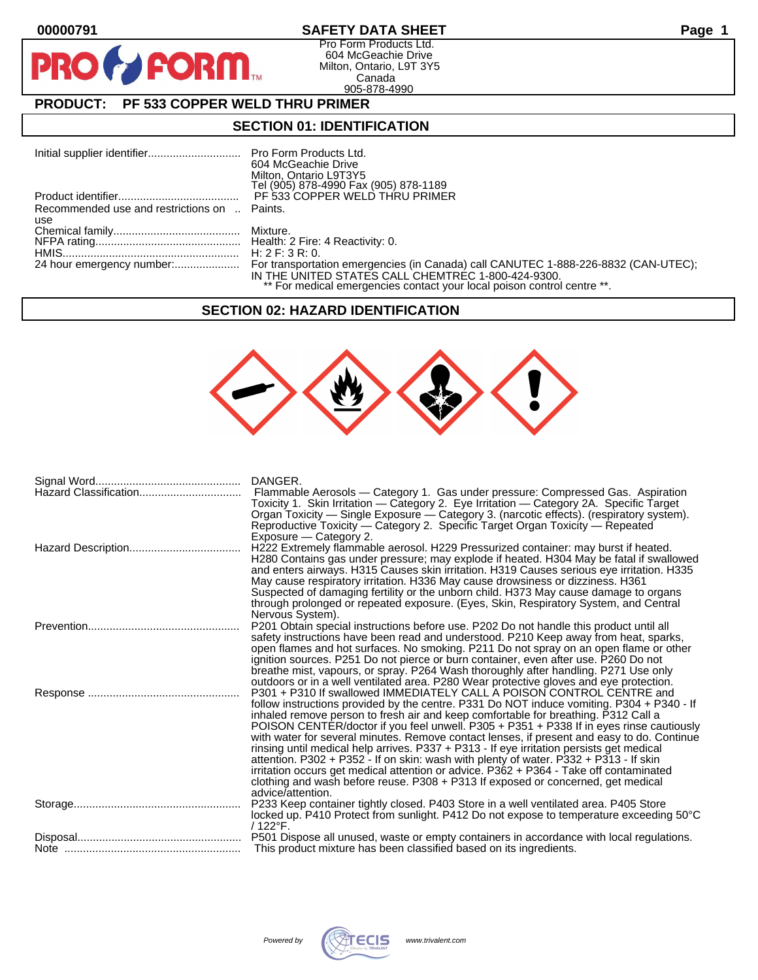$\bullet$ 

PR

## **00000791 SAFETY DATA SHEET Page 1**

Pro Form Products Ltd. 604 McGeachie Drive Milton, Ontario, L9T 3Y5 Canada 905-878-4990

# **PRODUCT: PF 533 COPPER WELD THRU PRIMER**

**FORM.** 

### **SECTION 01: IDENTIFICATION**

|                                              | 604 McGeachie Drive                                                     |
|----------------------------------------------|-------------------------------------------------------------------------|
|                                              | Milton, Ontario L9T3Y5                                                  |
|                                              | Tel (905) 878-4990 Fax (905) 878-1189                                   |
|                                              | PF 533 COPPER WELD THRU PRIMER                                          |
| Recommended use and restrictions on  Paints. |                                                                         |
| use                                          |                                                                         |
|                                              |                                                                         |
|                                              |                                                                         |
|                                              |                                                                         |
|                                              | IN THE UNITED STATES CALL CHEMTREC 1-800-424-9300.                      |
|                                              | ** For medical emergencies contact your local poison control centre **. |

### **SECTION 02: HAZARD IDENTIFICATION**



| DANGER.<br>Flammable Aerosols - Category 1. Gas under pressure: Compressed Gas. Aspiration<br>Toxicity 1. Skin Irritation - Category 2. Eye Irritation - Category 2A. Specific Target<br>Organ Toxicity — Single Exposure — Category 3. (narcotic effects). (respiratory system).<br>Reproductive Toxicity — Category 2. Specific Target Organ Toxicity — Repeated<br>Exposure - Category 2.                                                                                                                                                                                                                                                                                                                                                                                                                                              |
|-------------------------------------------------------------------------------------------------------------------------------------------------------------------------------------------------------------------------------------------------------------------------------------------------------------------------------------------------------------------------------------------------------------------------------------------------------------------------------------------------------------------------------------------------------------------------------------------------------------------------------------------------------------------------------------------------------------------------------------------------------------------------------------------------------------------------------------------|
| H222 Extremely flammable aerosol. H229 Pressurized container: may burst if heated.<br>H280 Contains gas under pressure; may explode if heated. H304 May be fatal if swallowed<br>and enters airways. H315 Causes skin irritation. H319 Causes serious eye irritation. H335<br>May cause respiratory irritation. H336 May cause drowsiness or dizziness. H361<br>Suspected of damaging fertility or the unborn child. H373 May cause damage to organs<br>through prolonged or repeated exposure. (Eyes, Skin, Respiratory System, and Central<br>Nervous System).                                                                                                                                                                                                                                                                          |
| P201 Obtain special instructions before use. P202 Do not handle this product until all<br>safety instructions have been read and understood. P210 Keep away from heat, sparks,<br>open flames and hot surfaces. No smoking. P211 Do not spray on an open flame or other<br>ignition sources. P251 Do not pierce or burn container, even after use. P260 Do not<br>breathe mist, vapours, or spray. P264 Wash thoroughly after handling. P271 Use only<br>outdoors or in a well ventilated area. P280 Wear protective gloves and eye protection.                                                                                                                                                                                                                                                                                           |
| P301 + P310 If swallowed IMMEDIATELY CALL A POISON CONTROL CENTRE and<br>follow instructions provided by the centre. P331 Do NOT induce vomiting. P304 + P340 - If<br>inhaled remove person to fresh air and keep comfortable for breathing. P312 Call a<br>POISON CENTER/doctor if you feel unwell. P305 + P351 + P338 If in eyes rinse cautiously<br>with water for several minutes. Remove contact lenses, if present and easy to do. Continue<br>rinsing until medical help arrives. P337 + P313 - If eye irritation persists get medical<br>attention. P302 + P352 - If on skin: wash with plenty of water. P332 + P313 - If skin<br>irritation occurs get medical attention or advice. P362 + P364 - Take off contaminated<br>clothing and wash before reuse. P308 + P313 If exposed or concerned, get medical<br>advice/attention. |
| P233 Keep container tightly closed. P403 Store in a well ventilated area. P405 Store<br>locked up. P410 Protect from sunlight. P412 Do not expose to temperature exceeding 50°C<br>/ 122°F.                                                                                                                                                                                                                                                                                                                                                                                                                                                                                                                                                                                                                                               |
| This product mixture has been classified based on its ingredients.                                                                                                                                                                                                                                                                                                                                                                                                                                                                                                                                                                                                                                                                                                                                                                        |

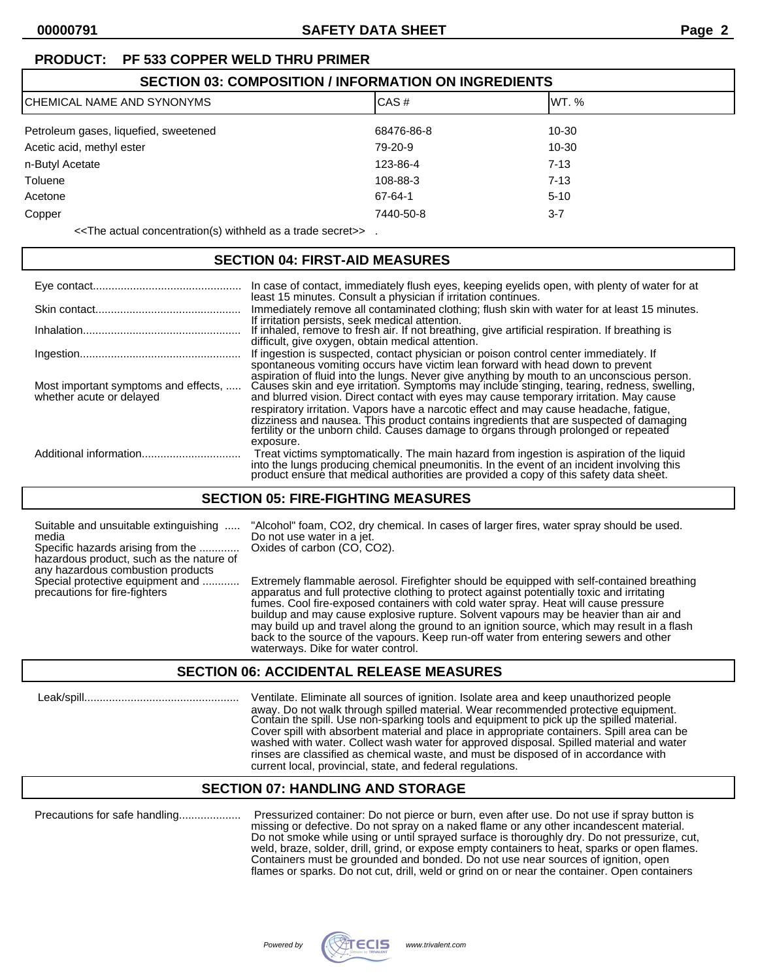# **PRODUCT: PF 533 COPPER WELD THRU PRIMER**

| <b>SECTION 03: COMPOSITION / INFORMATION ON INGREDIENTS</b> |            |          |  |
|-------------------------------------------------------------|------------|----------|--|
| CHEMICAL NAME AND SYNONYMS                                  | CAS#       | IWT. %   |  |
| Petroleum gases, liquefied, sweetened                       | 68476-86-8 | 10-30    |  |
| Acetic acid, methyl ester                                   | 79-20-9    | 10-30    |  |
| n-Butyl Acetate                                             | 123-86-4   | $7 - 13$ |  |
| Toluene                                                     | 108-88-3   | $7 - 13$ |  |
| Acetone                                                     | 67-64-1    | $5 - 10$ |  |
| Copper                                                      | 7440-50-8  | $3 - 7$  |  |

<<The actual concentration(s) withheld as a trade secret>> .

# **SECTION 04: FIRST-AID MEASURES**

|                                                                  | In case of contact, immediately flush eyes, keeping eyelids open, with plenty of water for at<br>least 15 minutes. Consult a physician if irritation continues.                                                                                                                                                                                                                                                                                                                                                                                                                                                                                               |
|------------------------------------------------------------------|---------------------------------------------------------------------------------------------------------------------------------------------------------------------------------------------------------------------------------------------------------------------------------------------------------------------------------------------------------------------------------------------------------------------------------------------------------------------------------------------------------------------------------------------------------------------------------------------------------------------------------------------------------------|
|                                                                  | Immediately remove all contaminated clothing; flush skin with water for at least 15 minutes.                                                                                                                                                                                                                                                                                                                                                                                                                                                                                                                                                                  |
|                                                                  | If irritation persists, seek medical attention.<br>If inhaled, remove to fresh air. If not breathing, give artificial respiration. If breathing is<br>difficult, give oxygen, obtain medical attention.                                                                                                                                                                                                                                                                                                                                                                                                                                                       |
|                                                                  | If ingestion is suspected, contact physician or poison control center immediately. If                                                                                                                                                                                                                                                                                                                                                                                                                                                                                                                                                                         |
| Most important symptoms and effects,<br>whether acute or delayed | spontaneous vomiting occurs have victim lean forward with head down to prevent<br>aspiration of fluid into the lungs. Never give anything by mouth to an unconscious person.<br>Causes skin and eye irritation. Symptoms may include stinging, tearing, redness, swelling,<br>and blurred vision. Direct contact with eyes may cause temporary irritation. May cause<br>respiratory irritation. Vapors have a narcotic effect and may cause headache, fatique,<br>dizziness and nausea. This product contains ingredients that are suspected of damaging<br>fertility or the unborn child. Causes damage to organs through prolonged or repeated<br>exposure. |
|                                                                  | Treat victims symptomatically. The main hazard from ingestion is aspiration of the liquid<br>into the lungs producing chemical pneumonitis. In the event of an incident involving this product ensure that medical authorities are provided a copy of this safety data sheet.                                                                                                                                                                                                                                                                                                                                                                                 |

# **SECTION 05: FIRE-FIGHTING MEASURES**

media Do not use water in a jet. Specific hazards arising from the ............. Oxides of carbon (CO, CO2).

hazardous product, such as the nature of any hazardous combustion products<br>Special protective equipment and ............

Suitable and unsuitable extinguishing ..... "Alcohol" foam, CO2, dry chemical. In cases of larger fires, water spray should be used.

Extremely flammable aerosol. Firefighter should be equipped with self-contained breathing precautions for fire-fighters apparatus and full protective clothing to protect against potentially toxic and irritating fumes. Cool fire-exposed containers with cold water spray. Heat will cause pressure buildup and may cause explosive rupture. Solvent vapours may be heavier than air and may build up and travel along the ground to an ignition source, which may result in a flash back to the source of the vapours. Keep run-off water from entering sewers and other waterways. Dike for water control.

## **SECTION 06: ACCIDENTAL RELEASE MEASURES**

 Leak/spill.................................................. Ventilate. Eliminate all sources of ignition. Isolate area and keep unauthorized people away. Do not walk through spilled material. Wear recommended protective equipment. Contain the spill. Use non-sparking tools and equipment to pick up the spilled material. Cover spill with absorbent material and place in appropriate containers. Spill area can be washed with water. Collect wash water for approved disposal. Spilled material and water rinses are classified as chemical waste, and must be disposed of in accordance with current local, provincial, state, and federal regulations.

## **SECTION 07: HANDLING AND STORAGE**

Precautions for safe handling.................... Pressurized container: Do not pierce or burn, even after use. Do not use if spray button is missing or defective. Do not spray on a naked flame or any other incandescent material. Do not smoke while using or until sprayed surface is thoroughly dry. Do not pressurize, cut, weld, braze, solder, drill, grind, or expose empty containers to heat, sparks or open flames. Containers must be grounded and bonded. Do not use near sources of ignition, open flames or sparks. Do not cut, drill, weld or grind on or near the container. Open containers

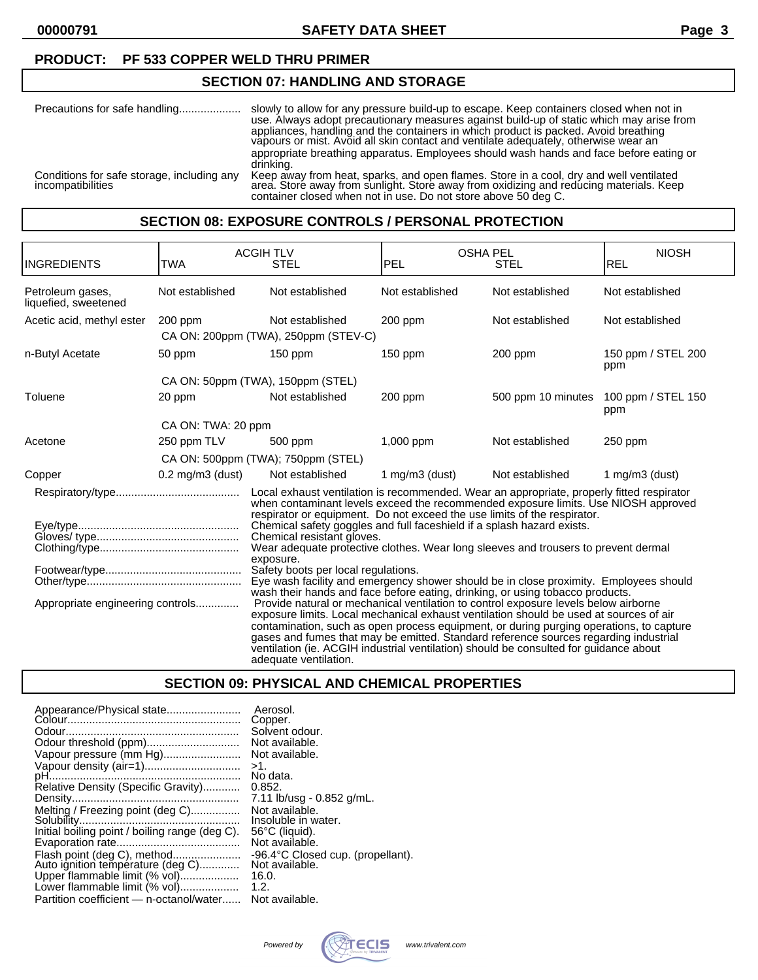**00000791 SAFETY DATA SHEET Page 3**

### **PRODUCT: PF 533 COPPER WELD THRU PRIMER**

### **SECTION 07: HANDLING AND STORAGE**

| Precautions for safe handling              | slowly to allow for any pressure build-up to escape. Keep containers closed when not in<br>use. Always adopt precautionary measures against build-up of static which may arise from<br>appliances, handling and the containers in which product is packed. Avoid breathing<br>vapours or mist. Avoid all skin contact and ventilate adequately, otherwise wear an<br>appropriate breathing apparatus. Employees should wash hands and face before eating or<br>drinking. |
|--------------------------------------------|--------------------------------------------------------------------------------------------------------------------------------------------------------------------------------------------------------------------------------------------------------------------------------------------------------------------------------------------------------------------------------------------------------------------------------------------------------------------------|
| Conditions for safe storage, including any | Keep away from heat, sparks, and open flames. Store in a cool, dry and well ventilated<br>area. Store away from sunlight. Store away from oxidizing and reducing materials. Keep                                                                                                                                                                                                                                                                                         |
| <i>incompatibilities</i>                   | container closed when not in use. Do not store above 50 deg C.                                                                                                                                                                                                                                                                                                                                                                                                           |

### **SECTION 08: EXPOSURE CONTROLS / PERSONAL PROTECTION**

| INGREDIENTS                              | <b>TWA</b>            | <b>ACGIH TLV</b><br><b>STEL</b>                                                                                                                                                                                                                                                                                                                                                                                                                                                    | <b>OSHA PEL</b><br>PEL | STEL               | <b>NIOSH</b><br>REL       |
|------------------------------------------|-----------------------|------------------------------------------------------------------------------------------------------------------------------------------------------------------------------------------------------------------------------------------------------------------------------------------------------------------------------------------------------------------------------------------------------------------------------------------------------------------------------------|------------------------|--------------------|---------------------------|
| Petroleum gases,<br>liquefied, sweetened | Not established       | Not established                                                                                                                                                                                                                                                                                                                                                                                                                                                                    | Not established        | Not established    | Not established           |
| Acetic acid, methyl ester                | $200$ ppm             | Not established<br>CA ON: 200ppm (TWA), 250ppm (STEV-C)                                                                                                                                                                                                                                                                                                                                                                                                                            | $200$ ppm              | Not established    | Not established           |
| n-Butyl Acetate                          | 50 ppm                | $150$ ppm                                                                                                                                                                                                                                                                                                                                                                                                                                                                          | $150$ ppm              | $200$ ppm          | 150 ppm / STEL 200<br>ppm |
|                                          |                       | CA ON: 50ppm (TWA), 150ppm (STEL)                                                                                                                                                                                                                                                                                                                                                                                                                                                  |                        |                    |                           |
| Toluene                                  | 20 ppm                | Not established                                                                                                                                                                                                                                                                                                                                                                                                                                                                    | $200$ ppm              | 500 ppm 10 minutes | 100 ppm / STEL 150<br>ppm |
|                                          | CA ON: TWA: 20 ppm    |                                                                                                                                                                                                                                                                                                                                                                                                                                                                                    |                        |                    |                           |
| Acetone                                  | 250 ppm TLV           | 500 ppm                                                                                                                                                                                                                                                                                                                                                                                                                                                                            | $1,000$ ppm            | Not established    | 250 ppm                   |
|                                          |                       | CA ON: 500ppm (TWA); 750ppm (STEL)                                                                                                                                                                                                                                                                                                                                                                                                                                                 |                        |                    |                           |
| Copper                                   | $0.2$ mg/m $3$ (dust) | Not established                                                                                                                                                                                                                                                                                                                                                                                                                                                                    | 1 mg/m $3$ (dust)      | Not established    | 1 mg/m $3$ (dust)         |
|                                          |                       | Local exhaust ventilation is recommended. Wear an appropriate, properly fitted respirator<br>when contaminant levels exceed the recommended exposure limits. Use NIOSH approved<br>respirator or equipment. Do not exceed the use limits of the respirator.<br>Chemical safety goggles and full faceshield if a splash hazard exists.<br>Chemical resistant gloves.<br>Wear adequate protective clothes. Wear long sleeves and trousers to prevent dermal<br>exposure.             |                        |                    |                           |
|                                          |                       | Safety boots per local regulations.<br>Eye wash facility and emergency shower should be in close proximity. Employees should<br>wash their hands and face before eating, drinking, or using tobacco products.                                                                                                                                                                                                                                                                      |                        |                    |                           |
| Appropriate engineering controls         |                       | Provide natural or mechanical ventilation to control exposure levels below airborne<br>exposure limits. Local mechanical exhaust ventilation should be used at sources of air<br>contamination, such as open process equipment, or during purging operations, to capture<br>gases and fumes that may be emitted. Standard reference sources regarding industrial<br>ventilation (ie. ACGIH industrial ventilation) should be consulted for guidance about<br>adequate ventilation. |                        |                    |                           |

## **SECTION 09: PHYSICAL AND CHEMICAL PROPERTIES**

| Appearance/Physical state                      | Aerosol.                          |
|------------------------------------------------|-----------------------------------|
|                                                | Copper.                           |
|                                                | Solvent odour.                    |
| Odour threshold (ppm)                          | Not available.                    |
| Vapour pressure (mm Hg)                        | Not available.                    |
| Vapour density (air=1)                         | >1.                               |
|                                                | No data.                          |
| Relative Density (Specific Gravity)            | 0.852.                            |
|                                                | 7.11 lb/usg - 0.852 g/mL.         |
| Melting / Freezing point (deg C)               | Not available.                    |
|                                                | Insoluble in water.               |
| Initial boiling point / boiling range (deg C). | 56°C (liquid).                    |
|                                                | Not available.                    |
| Flash point (deg C), method                    | -96.4°C Closed cup. (propellant). |
| Auto ignition temperature (deg C)              | Not available.                    |
| Upper flammable limit (% vol)                  | 16.0.                             |
| Lower flammable limit (% vol)                  | 1.2.                              |
| Partition coefficient - n-octanol/water        | Not available.                    |
|                                                |                                   |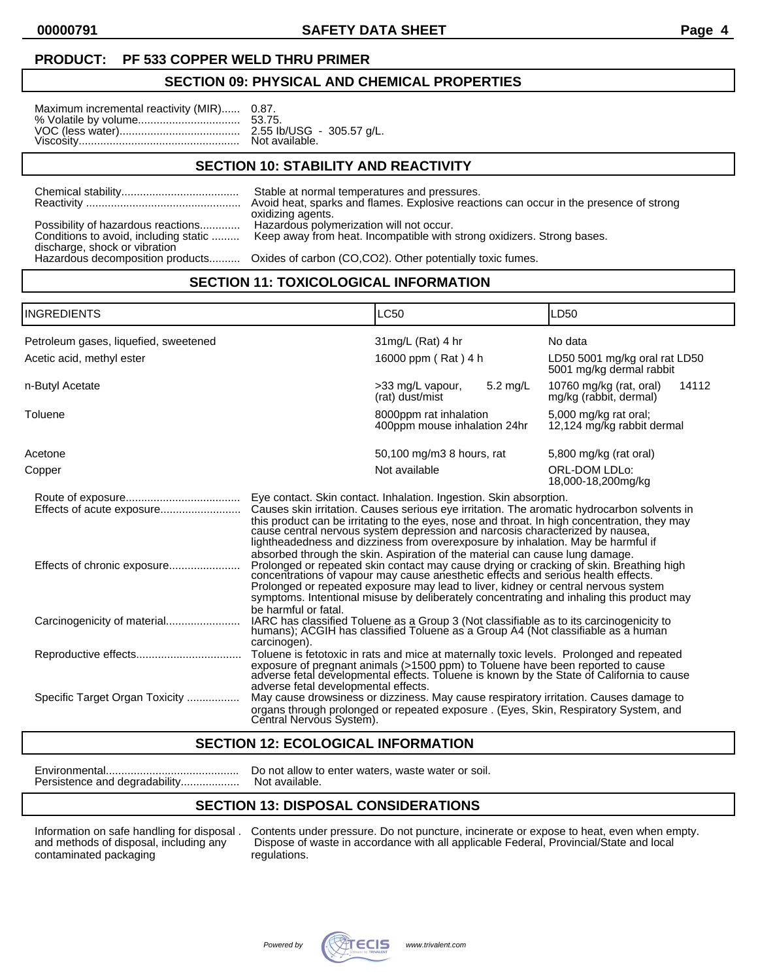**00000791 SAFETY DATA SHEET Page 4**

#### **PRODUCT: PF 533 COPPER WELD THRU PRIMER**

#### **SECTION 09: PHYSICAL AND CHEMICAL PROPERTIES**

| Maximum incremental reactivity (MIR) 0.87. |  |
|--------------------------------------------|--|
|                                            |  |

### **SECTION 10: STABILITY AND REACTIVITY**

|                                                                                                              | Stable at normal temperatures and pressures.<br>Avoid heat, sparks and flames. Explosive reactions can occur in the presence of strong<br>oxidizing agents. |
|--------------------------------------------------------------------------------------------------------------|-------------------------------------------------------------------------------------------------------------------------------------------------------------|
| Possibility of hazardous reactions<br>Conditions to avoid, including static<br>discharge, shock or vibration | Hazardous polymerization will not occur.<br>Keep away from heat. Incompatible with strong oxidizers. Strong bases.                                          |
|                                                                                                              | Hazardous decomposition products Oxides of carbon (CO,CO2). Other potentially toxic fumes.                                                                  |

### **SECTION 11: TOXICOLOGICAL INFORMATION**

| <b>INGREDIENTS</b>                    | <b>LC50</b>                                                                                                                                                                                                                                                                                                                                                                                                                                                                                                                                                                                                                                                                                                                                                                                                                                                                                                                                                                                                                                                                               |                                                        | LD50                                                       |
|---------------------------------------|-------------------------------------------------------------------------------------------------------------------------------------------------------------------------------------------------------------------------------------------------------------------------------------------------------------------------------------------------------------------------------------------------------------------------------------------------------------------------------------------------------------------------------------------------------------------------------------------------------------------------------------------------------------------------------------------------------------------------------------------------------------------------------------------------------------------------------------------------------------------------------------------------------------------------------------------------------------------------------------------------------------------------------------------------------------------------------------------|--------------------------------------------------------|------------------------------------------------------------|
| Petroleum gases, liquefied, sweetened |                                                                                                                                                                                                                                                                                                                                                                                                                                                                                                                                                                                                                                                                                                                                                                                                                                                                                                                                                                                                                                                                                           | $31$ mg/L (Rat) 4 hr                                   | No data                                                    |
| Acetic acid, methyl ester             |                                                                                                                                                                                                                                                                                                                                                                                                                                                                                                                                                                                                                                                                                                                                                                                                                                                                                                                                                                                                                                                                                           | 16000 ppm (Rat) 4 h                                    | LD50 5001 mg/kg oral rat LD50<br>5001 mg/kg dermal rabbit  |
| n-Butyl Acetate                       |                                                                                                                                                                                                                                                                                                                                                                                                                                                                                                                                                                                                                                                                                                                                                                                                                                                                                                                                                                                                                                                                                           | 5.2 mg/L<br>>33 mg/L vapour,<br>(rat) dust/mist        | 10760 mg/kg (rat, oral)<br>14112<br>mg/kg (rabbit, dermal) |
| Toluene                               |                                                                                                                                                                                                                                                                                                                                                                                                                                                                                                                                                                                                                                                                                                                                                                                                                                                                                                                                                                                                                                                                                           | 8000ppm rat inhalation<br>400ppm mouse inhalation 24hr | 5,000 mg/kg rat oral;<br>12,124 mg/kg rabbit dermal        |
| Acetone                               |                                                                                                                                                                                                                                                                                                                                                                                                                                                                                                                                                                                                                                                                                                                                                                                                                                                                                                                                                                                                                                                                                           | 50,100 mg/m3 8 hours, rat                              | 5,800 mg/kg (rat oral)                                     |
| Copper                                | Not available                                                                                                                                                                                                                                                                                                                                                                                                                                                                                                                                                                                                                                                                                                                                                                                                                                                                                                                                                                                                                                                                             |                                                        | ORL-DOM LDLo:<br>18,000-18,200mg/kg                        |
| Effects of chronic exposure           | Eye contact. Skin contact. Inhalation. Ingestion. Skin absorption.<br>Causes skin irritation. Causes serious eye irritation. The aromatic hydrocarbon solvents in<br>this product can be irritating to the eyes, nose and throat. In high concentration, they may<br>cause central nervous system depression and narcosis characterized by nausea,<br>lightheadedness and dizziness from overexposure by inhalation. May be harmful if<br>absorbed through the skin. Aspiration of the material can cause lung damage.<br>Prolonged or repeated skin contact may cause drying or cracking of skin. Breathing high concentrations of vapour may cause anesthetic effects and serious health effects.<br>Prolonged or repeated exposure may lead to liver, kidney or central nervous system<br>symptoms, Intentional misuse by deliberately concentrating and inhaling this product may<br>be harmful or fatal.<br>IARC has classified Toluene as a Group 3 (Not classifiable as to its carcinogenicity to humans); ACGIH has classified Toluene as a Group A4 (Not classifiable as a human |                                                        |                                                            |
| Specific Target Organ Toxicity        | carcinogen).<br>Toluene is fetotoxic in rats and mice at maternally toxic levels. Prolonged and repeated<br>exposure of pregnant animals (>1500 ppm) to Toluene have been reported to cause<br>adverse fetal developmental effects. Toluene is known by the State of California to cause<br>adverse fetal developmental effects.<br>May cause drowsiness or dizziness. May cause respiratory irritation. Causes damage to<br>organs through prolonged or repeated exposure . (Eyes, Skin, Respiratory System, and<br>Central Nervous System).                                                                                                                                                                                                                                                                                                                                                                                                                                                                                                                                             |                                                        |                                                            |

#### **SECTION 12: ECOLOGICAL INFORMATION**

| Persistence and degradability |
|-------------------------------|

Environmental........................................... Do not allow to enter waters, waste water or soil. Persistence and degradability................... Not available.

### **SECTION 13: DISPOSAL CONSIDERATIONS**

contaminated packaging regulations.

Information on safe handling for disposal . Contents under pressure. Do not puncture, incinerate or expose to heat, even when empty.<br>and methods of disposal, including any Dispose of waste in accordance with all applicable Dispose of waste in accordance with all applicable Federal, Provincial/State and local